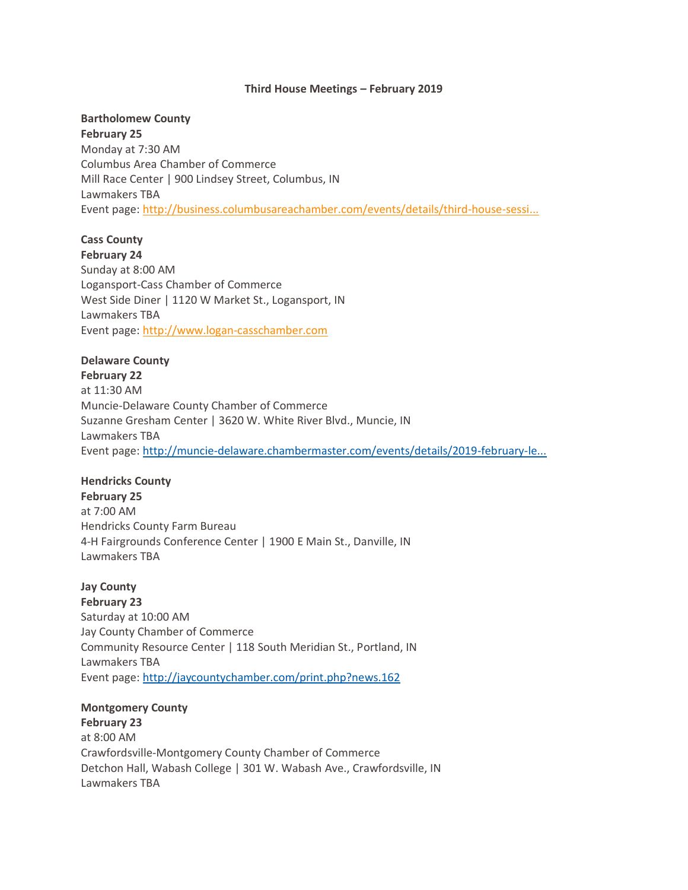#### **Third House Meetings – February 2019**

# **Bartholomew County**

**February 25** Monday at 7:30 AM Columbus Area Chamber of Commerce Mill Race Center | 900 Lindsey Street, Columbus, IN Lawmakers TBA Event page: [http://business.columbusareachamber.com/events/details/third-house-sessi...](http://business.columbusareachamber.com/events/details/third-house-sessions-2019-january-1818)

# **Cass County**

**February 24** Sunday at 8:00 AM Logansport-Cass Chamber of Commerce West Side Diner | 1120 W Market St., Logansport, IN Lawmakers TBA Event page: [http://www.logan-casschamber.com](http://www.logan-casschamber.com/)

## **Delaware County**

**February 22** at 11:30 AM Muncie-Delaware County Chamber of Commerce Suzanne Gresham Center | 3620 W. White River Blvd., Muncie, IN Lawmakers TBA Event page: [http://muncie-delaware.chambermaster.com/events/details/2019-february-le...](http://muncie-delaware.chambermaster.com/events/details/2019-february-legislative-update-973)

# **Hendricks County**

**February 25** at 7:00 AM Hendricks County Farm Bureau 4-H Fairgrounds Conference Center | 1900 E Main St., Danville, IN Lawmakers TBA

**Jay County February 23** Saturday at 10:00 AM Jay County Chamber of Commerce Community Resource Center | 118 South Meridian St., Portland, IN Lawmakers TBA Event page: <http://jaycountychamber.com/print.php?news.162>

#### **Montgomery County**

**February 23** at 8:00 AM Crawfordsville-Montgomery County Chamber of Commerce Detchon Hall, Wabash College | 301 W. Wabash Ave., Crawfordsville, IN Lawmakers TBA